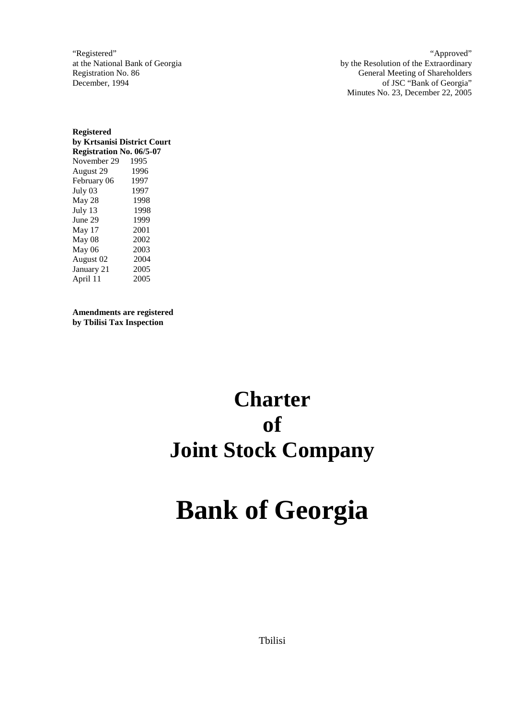"Registered" at the National Bank of Georgia Registration No. 86 December, 1994

"Approved" by the Resolution of the Extraordinary General Meeting of Shareholders of JSC "Bank of Georgia" Minutes No. 23, December 22, 2005

**Registered by Krtsanisi District Court Registration No. 06/5-07**  November 29 1995 August 29 1996 February 06 1997 July 03 1997 May 28 1998 July 13 1998 June 29 1999 May 17 2001 May 08 2002 May 06 2003 August 02 2004 January 21 2005 April 11 2005

**Amendments are registered by Tbilisi Tax Inspection** 

## **Charter of Joint Stock Company**

# **Bank of Georgia**

Tbilisi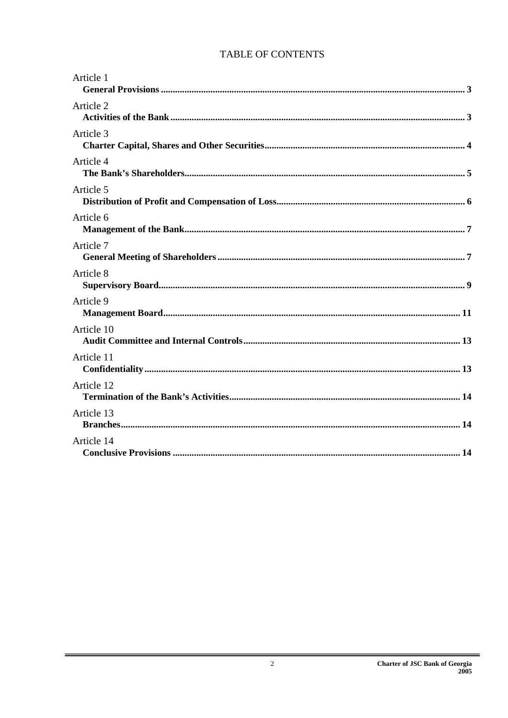## TABLE OF CONTENTS

| Article 1  |
|------------|
| Article 2  |
| Article 3  |
| Article 4  |
| Article 5  |
| Article 6  |
| Article 7  |
| Article 8  |
| Article 9  |
| Article 10 |
| Article 11 |
| Article 12 |
| Article 13 |
| Article 14 |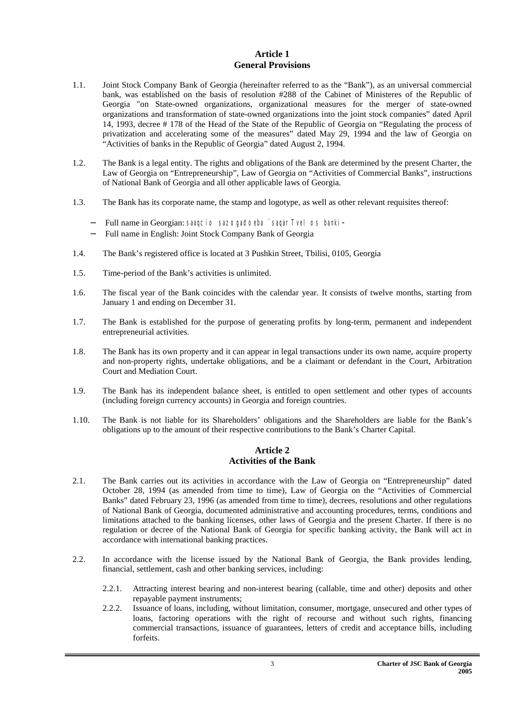#### **Article 1 General Provisions**

- 1.1. Joint Stock Company Bank of Georgia (hereinafter referred to as the "Bank"), as an universal commercial bank, was established on the basis of resolution #288 of the Cabinet of Ministeres of the Republic of Georgia "on State-owned organizations, organizational measures for the merger of state-owned organizations and transformation of state-owned organizations into the joint stock companies" dated April 14, 1993, decree # 178 of the Head of the State of the Republic of Georgia on "Regulating the process of privatization and accelerating some of the measures" dated May 29, 1994 and the law of Georgia on "Activities of banks in the Republic of Georgia" dated August 2, 1994.
- 1.2. The Bank is a legal entity. The rights and obligations of the Bank are determined by the present Charter, the Law of Georgia on "Entrepreneurship", Law of Georgia on "Activities of Commercial Banks", instructions of National Bank of Georgia and all other applicable laws of Georgia.
- 1.3. The Bank has its corporate name, the stamp and logotype, as well as other relevant requisites thereof:
	- − Full name in Georgian: saaqcio sazogadoeba `saqarTvelos banki~
	- − Full name in English: Joint Stock Company Bank of Georgia
- 1.4. The Bank's registered office is located at 3 Pushkin Street, Tbilisi, 0105, Georgia
- 1.5. Time-period of the Bank's activities is unlimited.
- 1.6. The fiscal year of the Bank coincides with the calendar year. It consists of twelve months, starting from January 1 and ending on December 31.
- 1.7. The Bank is established for the purpose of generating profits by long-term, permanent and independent entrepreneurial activities.
- 1.8. The Bank has its own property and it can appear in legal transactions under its own name, acquire property and non-property rights, undertake obligations, and be a claimant or defendant in the Court, Arbitration Court and Mediation Court.
- 1.9. The Bank has its independent balance sheet, is entitled to open settlement and other types of accounts (including foreign currency accounts) in Georgia and foreign countries.
- 1.10. The Bank is not liable for its Shareholders' obligations and the Shareholders are liable for the Bank's obligations up to the amount of their respective contributions to the Bank's Charter Capital.

#### **Article 2 Activities of the Bank**

- 2.1. The Bank carries out its activities in accordance with the Law of Georgia on "Entrepreneurship" dated October 28, 1994 (as amended from time to time), Law of Georgia on the "Activities of Commercial Banks" dated February 23, 1996 (as amended from time to time), decrees, resolutions and other regulations of National Bank of Georgia, documented administrative and accounting procedures, terms, conditions and limitations attached to the banking licenses, other laws of Georgia and the present Charter. If there is no regulation or decree of the National Bank of Georgia for specific banking activity, the Bank will act in accordance with international banking practices.
- 2.2. In accordance with the license issued by the National Bank of Georgia, the Bank provides lending, financial, settlement, cash and other banking services, including:
	- 2.2.1. Attracting interest bearing and non-interest bearing (callable, time and other) deposits and other repayable payment instruments;
	- 2.2.2. Issuance of loans, including, without limitation, consumer, mortgage, unsecured and other types of loans, factoring operations with the right of recourse and without such rights, financing commercial transactions, issuance of guarantees, letters of credit and acceptance bills, including forfeits.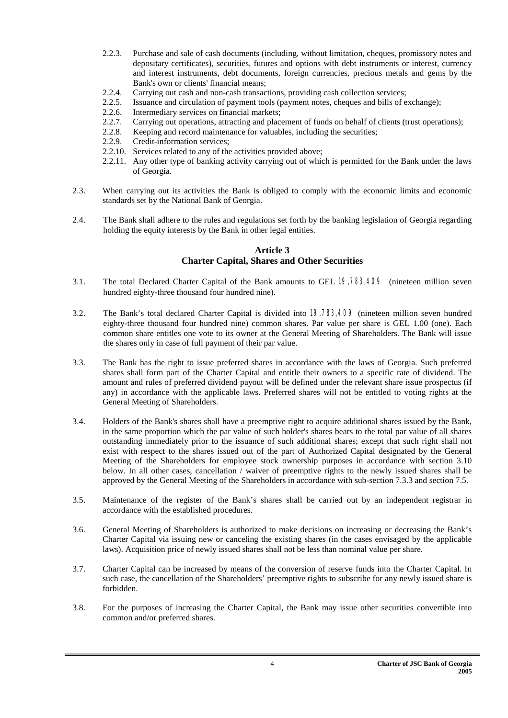- 2.2.3. Purchase and sale of cash documents (including, without limitation, cheques, promissory notes and depositary certificates), securities, futures and options with debt instruments or interest, currency and interest instruments, debt documents, foreign currencies, precious metals and gems by the Bank's own or clients' financial means;
- 2.2.4. Carrying out cash and non-cash transactions, providing cash collection services;
- 2.2.5. Issuance and circulation of payment tools (payment notes, cheques and bills of exchange);
- 2.2.6. Intermediary services on financial markets;
- 2.2.7. Carrying out operations, attracting and placement of funds on behalf of clients (trust operations);
- 2.2.8. Keeping and record maintenance for valuables, including the securities;
- 2.2.9. Credit-information services;
- 2.2.10. Services related to any of the activities provided above;
- 2.2.11. Any other type of banking activity carrying out of which is permitted for the Bank under the laws of Georgia.
- 2.3. When carrying out its activities the Bank is obliged to comply with the economic limits and economic standards set by the National Bank of Georgia.
- 2.4. The Bank shall adhere to the rules and regulations set forth by the banking legislation of Georgia regarding holding the equity interests by the Bank in other legal entities.

#### **Article 3 Charter Capital, Shares and Other Securities**

- 3.1. The total Declared Charter Capital of the Bank amounts to GEL 19,783,409 (nineteen million seven hundred eighty-three thousand four hundred nine).
- 3.2. The Bank's total declared Charter Capital is divided into 19,783,409 (nineteen million seven hundred eighty-three thousand four hundred nine) common shares. Par value per share is GEL 1.00 (one). Each common share entitles one vote to its owner at the General Meeting of Shareholders. The Bank will issue the shares only in case of full payment of their par value.
- 3.3. The Bank has the right to issue preferred shares in accordance with the laws of Georgia. Such preferred shares shall form part of the Charter Capital and entitle their owners to a specific rate of dividend. The amount and rules of preferred dividend payout will be defined under the relevant share issue prospectus (if any) in accordance with the applicable laws. Preferred shares will not be entitled to voting rights at the General Meeting of Shareholders.
- 3.4. Holders of the Bank's shares shall have a preemptive right to acquire additional shares issued by the Bank, in the same proportion which the par value of such holder's shares bears to the total par value of all shares outstanding immediately prior to the issuance of such additional shares; except that such right shall not exist with respect to the shares issued out of the part of Authorized Capital designated by the General Meeting of the Shareholders for employee stock ownership purposes in accordance with section 3.10 below. In all other cases, cancellation / waiver of preemptive rights to the newly issued shares shall be approved by the General Meeting of the Shareholders in accordance with sub-section 7.3.3 and section 7.5.
- 3.5. Maintenance of the register of the Bank's shares shall be carried out by an independent registrar in accordance with the established procedures.
- 3.6. General Meeting of Shareholders is authorized to make decisions on increasing or decreasing the Bank's Charter Capital via issuing new or canceling the existing shares (in the cases envisaged by the applicable laws). Acquisition price of newly issued shares shall not be less than nominal value per share.
- 3.7. Charter Capital can be increased by means of the conversion of reserve funds into the Charter Capital. In such case, the cancellation of the Shareholders' preemptive rights to subscribe for any newly issued share is forbidden.
- 3.8. For the purposes of increasing the Charter Capital, the Bank may issue other securities convertible into common and/or preferred shares.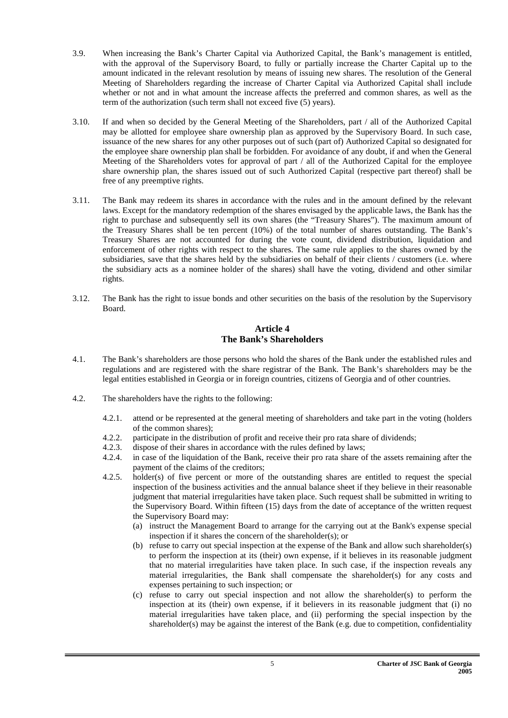- 3.9. When increasing the Bank's Charter Capital via Authorized Capital, the Bank's management is entitled, with the approval of the Supervisory Board, to fully or partially increase the Charter Capital up to the amount indicated in the relevant resolution by means of issuing new shares. The resolution of the General Meeting of Shareholders regarding the increase of Charter Capital via Authorized Capital shall include whether or not and in what amount the increase affects the preferred and common shares, as well as the term of the authorization (such term shall not exceed five (5) years).
- 3.10. If and when so decided by the General Meeting of the Shareholders, part / all of the Authorized Capital may be allotted for employee share ownership plan as approved by the Supervisory Board. In such case, issuance of the new shares for any other purposes out of such (part of) Authorized Capital so designated for the employee share ownership plan shall be forbidden. For avoidance of any doubt, if and when the General Meeting of the Shareholders votes for approval of part / all of the Authorized Capital for the employee share ownership plan, the shares issued out of such Authorized Capital (respective part thereof) shall be free of any preemptive rights.
- 3.11. The Bank may redeem its shares in accordance with the rules and in the amount defined by the relevant laws. Except for the mandatory redemption of the shares envisaged by the applicable laws, the Bank has the right to purchase and subsequently sell its own shares (the "Treasury Shares"). The maximum amount of the Treasury Shares shall be ten percent (10%) of the total number of shares outstanding. The Bank's Treasury Shares are not accounted for during the vote count, dividend distribution, liquidation and enforcement of other rights with respect to the shares. The same rule applies to the shares owned by the subsidiaries, save that the shares held by the subsidiaries on behalf of their clients / customers (i.e. where the subsidiary acts as a nominee holder of the shares) shall have the voting, dividend and other similar rights.
- 3.12. The Bank has the right to issue bonds and other securities on the basis of the resolution by the Supervisory Board.

#### **Article 4 The Bank's Shareholders**

- 4.1. The Bank's shareholders are those persons who hold the shares of the Bank under the established rules and regulations and are registered with the share registrar of the Bank. The Bank's shareholders may be the legal entities established in Georgia or in foreign countries, citizens of Georgia and of other countries.
- 4.2. The shareholders have the rights to the following:
	- 4.2.1. attend or be represented at the general meeting of shareholders and take part in the voting (holders of the common shares);
	- 4.2.2. participate in the distribution of profit and receive their pro rata share of dividends;
	- 4.2.3. dispose of their shares in accordance with the rules defined by laws;
	- 4.2.4. in case of the liquidation of the Bank, receive their pro rata share of the assets remaining after the payment of the claims of the creditors;
	- 4.2.5. holder(s) of five percent or more of the outstanding shares are entitled to request the special inspection of the business activities and the annual balance sheet if they believe in their reasonable judgment that material irregularities have taken place. Such request shall be submitted in writing to the Supervisory Board. Within fifteen (15) days from the date of acceptance of the written request the Supervisory Board may:
		- (a) instruct the Management Board to arrange for the carrying out at the Bank's expense special inspection if it shares the concern of the shareholder(s); or
		- (b) refuse to carry out special inspection at the expense of the Bank and allow such shareholder(s) to perform the inspection at its (their) own expense, if it believes in its reasonable judgment that no material irregularities have taken place. In such case, if the inspection reveals any material irregularities, the Bank shall compensate the shareholder(s) for any costs and expenses pertaining to such inspection; or
		- (c) refuse to carry out special inspection and not allow the shareholder(s) to perform the inspection at its (their) own expense, if it believers in its reasonable judgment that (i) no material irregularities have taken place, and (ii) performing the special inspection by the shareholder(s) may be against the interest of the Bank (e.g. due to competition, confidentiality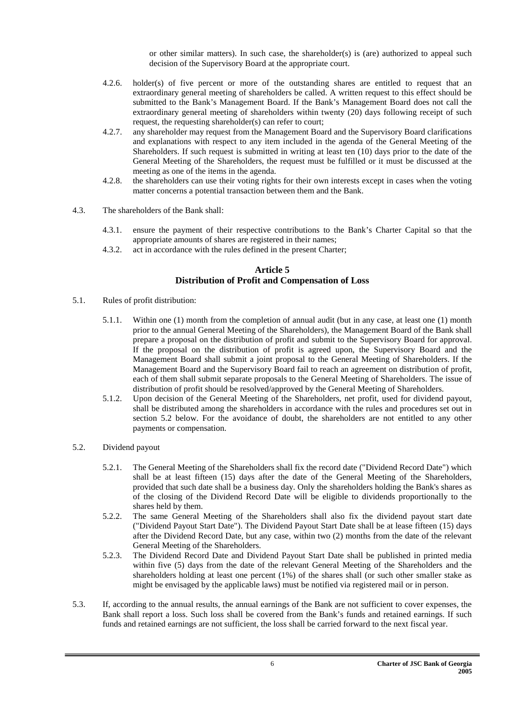or other similar matters). In such case, the shareholder(s) is (are) authorized to appeal such decision of the Supervisory Board at the appropriate court.

- 4.2.6. holder(s) of five percent or more of the outstanding shares are entitled to request that an extraordinary general meeting of shareholders be called. A written request to this effect should be submitted to the Bank's Management Board. If the Bank's Management Board does not call the extraordinary general meeting of shareholders within twenty (20) days following receipt of such request, the requesting shareholder(s) can refer to court;
- 4.2.7. any shareholder may request from the Management Board and the Supervisory Board clarifications and explanations with respect to any item included in the agenda of the General Meeting of the Shareholders. If such request is submitted in writing at least ten (10) days prior to the date of the General Meeting of the Shareholders, the request must be fulfilled or it must be discussed at the meeting as one of the items in the agenda.
- 4.2.8. the shareholders can use their voting rights for their own interests except in cases when the voting matter concerns a potential transaction between them and the Bank.
- 4.3. The shareholders of the Bank shall:
	- 4.3.1. ensure the payment of their respective contributions to the Bank's Charter Capital so that the appropriate amounts of shares are registered in their names;
	- 4.3.2. act in accordance with the rules defined in the present Charter;

#### **Article 5 Distribution of Profit and Compensation of Loss**

- 5.1. Rules of profit distribution:
	- 5.1.1. Within one (1) month from the completion of annual audit (but in any case, at least one (1) month prior to the annual General Meeting of the Shareholders), the Management Board of the Bank shall prepare a proposal on the distribution of profit and submit to the Supervisory Board for approval. If the proposal on the distribution of profit is agreed upon, the Supervisory Board and the Management Board shall submit a joint proposal to the General Meeting of Shareholders. If the Management Board and the Supervisory Board fail to reach an agreement on distribution of profit, each of them shall submit separate proposals to the General Meeting of Shareholders. The issue of distribution of profit should be resolved/approved by the General Meeting of Shareholders.
	- 5.1.2. Upon decision of the General Meeting of the Shareholders, net profit, used for dividend payout, shall be distributed among the shareholders in accordance with the rules and procedures set out in section 5.2 below. For the avoidance of doubt, the shareholders are not entitled to any other payments or compensation.
- 5.2. Dividend payout
	- 5.2.1. The General Meeting of the Shareholders shall fix the record date ("Dividend Record Date") which shall be at least fifteen (15) days after the date of the General Meeting of the Shareholders, provided that such date shall be a business day. Only the shareholders holding the Bank's shares as of the closing of the Dividend Record Date will be eligible to dividends proportionally to the shares held by them.
	- 5.2.2. The same General Meeting of the Shareholders shall also fix the dividend payout start date ("Dividend Payout Start Date"). The Dividend Payout Start Date shall be at lease fifteen (15) days after the Dividend Record Date, but any case, within two (2) months from the date of the relevant General Meeting of the Shareholders.
	- 5.2.3. The Dividend Record Date and Dividend Payout Start Date shall be published in printed media within five (5) days from the date of the relevant General Meeting of the Shareholders and the shareholders holding at least one percent (1%) of the shares shall (or such other smaller stake as might be envisaged by the applicable laws) must be notified via registered mail or in person.
- 5.3. If, according to the annual results, the annual earnings of the Bank are not sufficient to cover expenses, the Bank shall report a loss. Such loss shall be covered from the Bank's funds and retained earnings. If such funds and retained earnings are not sufficient, the loss shall be carried forward to the next fiscal year.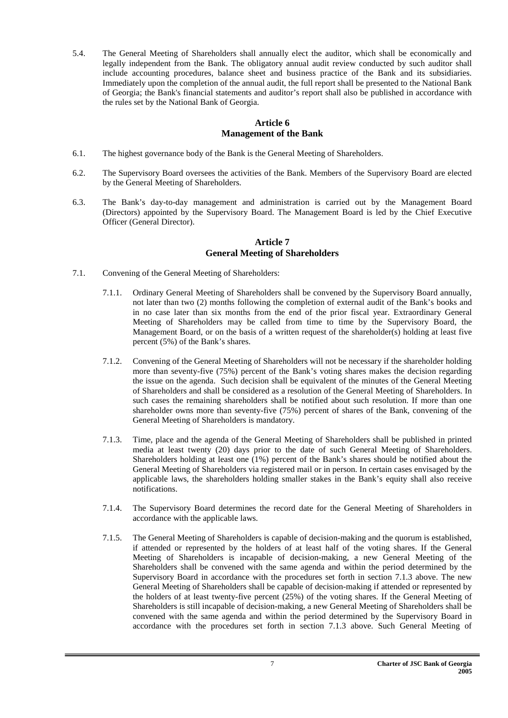5.4. The General Meeting of Shareholders shall annually elect the auditor, which shall be economically and legally independent from the Bank. The obligatory annual audit review conducted by such auditor shall include accounting procedures, balance sheet and business practice of the Bank and its subsidiaries. Immediately upon the completion of the annual audit, the full report shall be presented to the National Bank of Georgia; the Bank's financial statements and auditor's report shall also be published in accordance with the rules set by the National Bank of Georgia.

#### **Article 6 Management of the Bank**

- 6.1. The highest governance body of the Bank is the General Meeting of Shareholders.
- 6.2. The Supervisory Board oversees the activities of the Bank. Members of the Supervisory Board are elected by the General Meeting of Shareholders.
- 6.3. The Bank's day-to-day management and administration is carried out by the Management Board (Directors) appointed by the Supervisory Board. The Management Board is led by the Chief Executive Officer (General Director).

#### **Article 7 General Meeting of Shareholders**

- 7.1. Convening of the General Meeting of Shareholders:
	- 7.1.1. Ordinary General Meeting of Shareholders shall be convened by the Supervisory Board annually, not later than two (2) months following the completion of external audit of the Bank's books and in no case later than six months from the end of the prior fiscal year. Extraordinary General Meeting of Shareholders may be called from time to time by the Supervisory Board, the Management Board, or on the basis of a written request of the shareholder(s) holding at least five percent (5%) of the Bank's shares.
	- 7.1.2. Convening of the General Meeting of Shareholders will not be necessary if the shareholder holding more than seventy-five (75%) percent of the Bank's voting shares makes the decision regarding the issue on the agenda. Such decision shall be equivalent of the minutes of the General Meeting of Shareholders and shall be considered as a resolution of the General Meeting of Shareholders. In such cases the remaining shareholders shall be notified about such resolution. If more than one shareholder owns more than seventy-five (75%) percent of shares of the Bank, convening of the General Meeting of Shareholders is mandatory.
	- 7.1.3. Time, place and the agenda of the General Meeting of Shareholders shall be published in printed media at least twenty (20) days prior to the date of such General Meeting of Shareholders. Shareholders holding at least one (1%) percent of the Bank's shares should be notified about the General Meeting of Shareholders via registered mail or in person. In certain cases envisaged by the applicable laws, the shareholders holding smaller stakes in the Bank's equity shall also receive notifications.
	- 7.1.4. The Supervisory Board determines the record date for the General Meeting of Shareholders in accordance with the applicable laws.
	- 7.1.5. The General Meeting of Shareholders is capable of decision-making and the quorum is established, if attended or represented by the holders of at least half of the voting shares. If the General Meeting of Shareholders is incapable of decision-making, a new General Meeting of the Shareholders shall be convened with the same agenda and within the period determined by the Supervisory Board in accordance with the procedures set forth in section 7.1.3 above. The new General Meeting of Shareholders shall be capable of decision-making if attended or represented by the holders of at least twenty-five percent (25%) of the voting shares. If the General Meeting of Shareholders is still incapable of decision-making, a new General Meeting of Shareholders shall be convened with the same agenda and within the period determined by the Supervisory Board in accordance with the procedures set forth in section 7.1.3 above. Such General Meeting of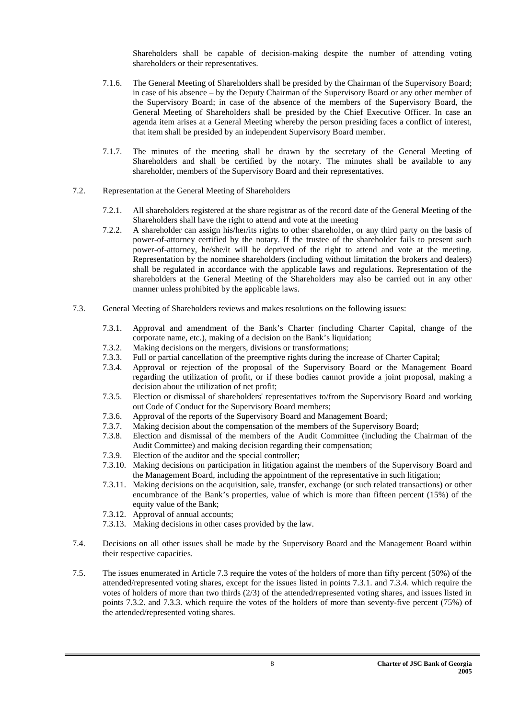Shareholders shall be capable of decision-making despite the number of attending voting shareholders or their representatives.

- 7.1.6. The General Meeting of Shareholders shall be presided by the Chairman of the Supervisory Board; in case of his absence – by the Deputy Chairman of the Supervisory Board or any other member of the Supervisory Board; in case of the absence of the members of the Supervisory Board, the General Meeting of Shareholders shall be presided by the Chief Executive Officer. In case an agenda item arises at a General Meeting whereby the person presiding faces a conflict of interest, that item shall be presided by an independent Supervisory Board member.
- 7.1.7. The minutes of the meeting shall be drawn by the secretary of the General Meeting of Shareholders and shall be certified by the notary. The minutes shall be available to any shareholder, members of the Supervisory Board and their representatives.
- 7.2. Representation at the General Meeting of Shareholders
	- 7.2.1. All shareholders registered at the share registrar as of the record date of the General Meeting of the Shareholders shall have the right to attend and vote at the meeting
	- 7.2.2. A shareholder can assign his/her/its rights to other shareholder, or any third party on the basis of power-of-attorney certified by the notary. If the trustee of the shareholder fails to present such power-of-attorney, he/she/it will be deprived of the right to attend and vote at the meeting. Representation by the nominee shareholders (including without limitation the brokers and dealers) shall be regulated in accordance with the applicable laws and regulations. Representation of the shareholders at the General Meeting of the Shareholders may also be carried out in any other manner unless prohibited by the applicable laws.
- 7.3. General Meeting of Shareholders reviews and makes resolutions on the following issues:
	- 7.3.1. Approval and amendment of the Bank's Charter (including Charter Capital, change of the corporate name, etc.), making of a decision on the Bank's liquidation;
	- 7.3.2. Making decisions on the mergers, divisions or transformations;
	- 7.3.3. Full or partial cancellation of the preemptive rights during the increase of Charter Capital;
	- 7.3.4. Approval or rejection of the proposal of the Supervisory Board or the Management Board regarding the utilization of profit, or if these bodies cannot provide a joint proposal, making a decision about the utilization of net profit;
	- 7.3.5. Election or dismissal of shareholders' representatives to/from the Supervisory Board and working out Code of Conduct for the Supervisory Board members;
	- 7.3.6. Approval of the reports of the Supervisory Board and Management Board;
	- 7.3.7. Making decision about the compensation of the members of the Supervisory Board;
	- 7.3.8. Election and dismissal of the members of the Audit Committee (including the Chairman of the Audit Committee) and making decision regarding their compensation;
	- 7.3.9. Election of the auditor and the special controller;
	- 7.3.10. Making decisions on participation in litigation against the members of the Supervisory Board and the Management Board, including the appointment of the representative in such litigation;
	- 7.3.11. Making decisions on the acquisition, sale, transfer, exchange (or such related transactions) or other encumbrance of the Bank's properties, value of which is more than fifteen percent (15%) of the equity value of the Bank;
	- 7.3.12. Approval of annual accounts;
	- 7.3.13. Making decisions in other cases provided by the law.
- 7.4. Decisions on all other issues shall be made by the Supervisory Board and the Management Board within their respective capacities.
- 7.5. The issues enumerated in Article 7.3 require the votes of the holders of more than fifty percent (50%) of the attended/represented voting shares, except for the issues listed in points 7.3.1. and 7.3.4. which require the votes of holders of more than two thirds (2/3) of the attended/represented voting shares, and issues listed in points 7.3.2. and 7.3.3. which require the votes of the holders of more than seventy-five percent (75%) of the attended/represented voting shares.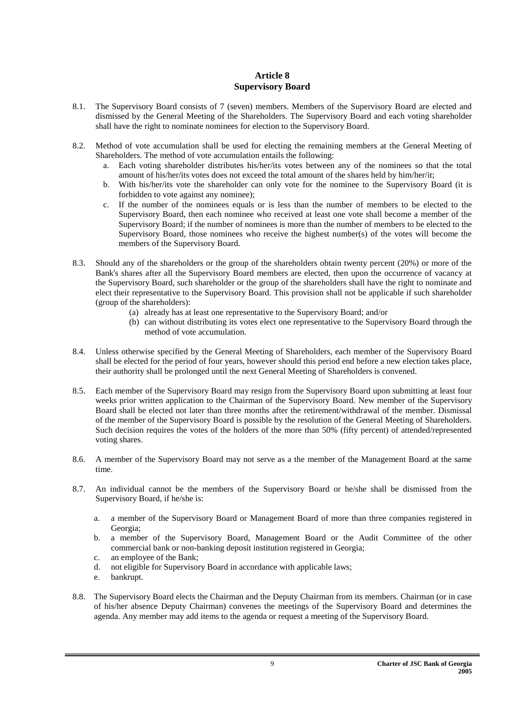#### **Article 8 Supervisory Board**

- 8.1. The Supervisory Board consists of 7 (seven) members. Members of the Supervisory Board are elected and dismissed by the General Meeting of the Shareholders. The Supervisory Board and each voting shareholder shall have the right to nominate nominees for election to the Supervisory Board.
- 8.2. Method of vote accumulation shall be used for electing the remaining members at the General Meeting of Shareholders. The method of vote accumulation entails the following:
	- a. Each voting shareholder distributes his/her/its votes between any of the nominees so that the total amount of his/her/its votes does not exceed the total amount of the shares held by him/her/it;
	- b. With his/her/its vote the shareholder can only vote for the nominee to the Supervisory Board (it is forbidden to vote against any nominee);
	- c. If the number of the nominees equals or is less than the number of members to be elected to the Supervisory Board, then each nominee who received at least one vote shall become a member of the Supervisory Board; if the number of nominees is more than the number of members to be elected to the Supervisory Board, those nominees who receive the highest number(s) of the votes will become the members of the Supervisory Board.
- 8.3. Should any of the shareholders or the group of the shareholders obtain twenty percent (20%) or more of the Bank's shares after all the Supervisory Board members are elected, then upon the occurrence of vacancy at the Supervisory Board, such shareholder or the group of the shareholders shall have the right to nominate and elect their representative to the Supervisory Board. This provision shall not be applicable if such shareholder (group of the shareholders):
	- (a) already has at least one representative to the Supervisory Board; and/or
	- (b) can without distributing its votes elect one representative to the Supervisory Board through the method of vote accumulation.
- 8.4. Unless otherwise specified by the General Meeting of Shareholders, each member of the Supervisory Board shall be elected for the period of four years, however should this period end before a new election takes place, their authority shall be prolonged until the next General Meeting of Shareholders is convened.
- 8.5. Each member of the Supervisory Board may resign from the Supervisory Board upon submitting at least four weeks prior written application to the Chairman of the Supervisory Board. New member of the Supervisory Board shall be elected not later than three months after the retirement/withdrawal of the member. Dismissal of the member of the Supervisory Board is possible by the resolution of the General Meeting of Shareholders. Such decision requires the votes of the holders of the more than 50% (fifty percent) of attended/represented voting shares.
- 8.6. A member of the Supervisory Board may not serve as a the member of the Management Board at the same time.
- 8.7. An individual cannot be the members of the Supervisory Board or he/she shall be dismissed from the Supervisory Board, if he/she is:
	- a. a member of the Supervisory Board or Management Board of more than three companies registered in Georgia;
	- b. a member of the Supervisory Board, Management Board or the Audit Committee of the other commercial bank or non-banking deposit institution registered in Georgia;
	- c. an employee of the Bank;
	- d. not eligible for Supervisory Board in accordance with applicable laws;
	- e. bankrupt.
- 8.8. The Supervisory Board elects the Chairman and the Deputy Chairman from its members. Chairman (or in case of his/her absence Deputy Chairman) convenes the meetings of the Supervisory Board and determines the agenda. Any member may add items to the agenda or request a meeting of the Supervisory Board.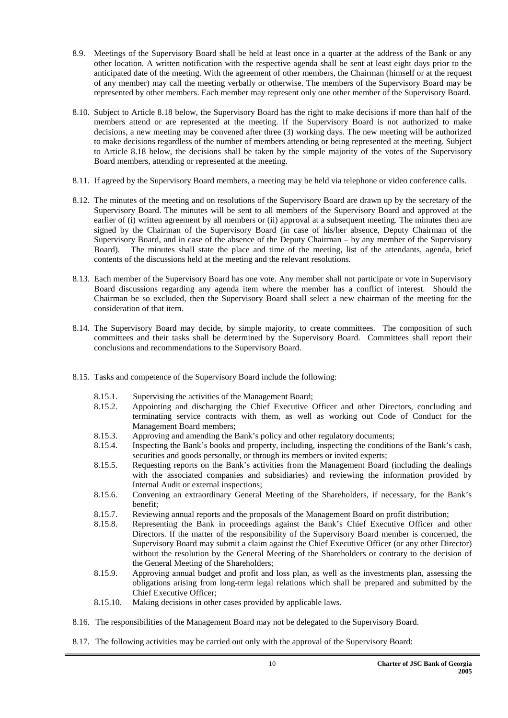- 8.9. Meetings of the Supervisory Board shall be held at least once in a quarter at the address of the Bank or any other location. A written notification with the respective agenda shall be sent at least eight days prior to the anticipated date of the meeting. With the agreement of other members, the Chairman (himself or at the request of any member) may call the meeting verbally or otherwise. The members of the Supervisory Board may be represented by other members. Each member may represent only one other member of the Supervisory Board.
- 8.10. Subject to Article 8.18 below, the Supervisory Board has the right to make decisions if more than half of the members attend or are represented at the meeting. If the Supervisory Board is not authorized to make decisions, a new meeting may be convened after three (3) working days. The new meeting will be authorized to make decisions regardless of the number of members attending or being represented at the meeting. Subject to Article 8.18 below, the decisions shall be taken by the simple majority of the votes of the Supervisory Board members, attending or represented at the meeting.
- 8.11. If agreed by the Supervisory Board members, a meeting may be held via telephone or video conference calls.
- 8.12. The minutes of the meeting and on resolutions of the Supervisory Board are drawn up by the secretary of the Supervisory Board. The minutes will be sent to all members of the Supervisory Board and approved at the earlier of (i) written agreement by all members or (ii) approval at a subsequent meeting. The minutes then are signed by the Chairman of the Supervisory Board (in case of his/her absence, Deputy Chairman of the Supervisory Board, and in case of the absence of the Deputy Chairman – by any member of the Supervisory Board). The minutes shall state the place and time of the meeting, list of the attendants, agenda, brief contents of the discussions held at the meeting and the relevant resolutions.
- 8.13. Each member of the Supervisory Board has one vote. Any member shall not participate or vote in Supervisory Board discussions regarding any agenda item where the member has a conflict of interest. Should the Chairman be so excluded, then the Supervisory Board shall select a new chairman of the meeting for the consideration of that item.
- 8.14. The Supervisory Board may decide, by simple majority, to create committees. The composition of such committees and their tasks shall be determined by the Supervisory Board. Committees shall report their conclusions and recommendations to the Supervisory Board.
- 8.15. Tasks and competence of the Supervisory Board include the following:
	- 8.15.1. Supervising the activities of the Management Board;
	- 8.15.2. Appointing and discharging the Chief Executive Officer and other Directors, concluding and terminating service contracts with them, as well as working out Code of Conduct for the Management Board members;
	- 8.15.3. Approving and amending the Bank's policy and other regulatory documents;
	- 8.15.4. Inspecting the Bank's books and property, including, inspecting the conditions of the Bank's cash, securities and goods personally, or through its members or invited experts;
	- 8.15.5. Requesting reports on the Bank's activities from the Management Board (including the dealings with the associated companies and subsidiaries) and reviewing the information provided by Internal Audit or external inspections;
	- 8.15.6. Convening an extraordinary General Meeting of the Shareholders, if necessary, for the Bank's benefit;
	- 8.15.7. Reviewing annual reports and the proposals of the Management Board on profit distribution;
	- 8.15.8. Representing the Bank in proceedings against the Bank's Chief Executive Officer and other Directors. If the matter of the responsibility of the Supervisory Board member is concerned, the Supervisory Board may submit a claim against the Chief Executive Officer (or any other Director) without the resolution by the General Meeting of the Shareholders or contrary to the decision of the General Meeting of the Shareholders;
	- 8.15.9. Approving annual budget and profit and loss plan, as well as the investments plan, assessing the obligations arising from long-term legal relations which shall be prepared and submitted by the Chief Executive Officer;
	- 8.15.10. Making decisions in other cases provided by applicable laws.
- 8.16. The responsibilities of the Management Board may not be delegated to the Supervisory Board.
- 8.17. The following activities may be carried out only with the approval of the Supervisory Board: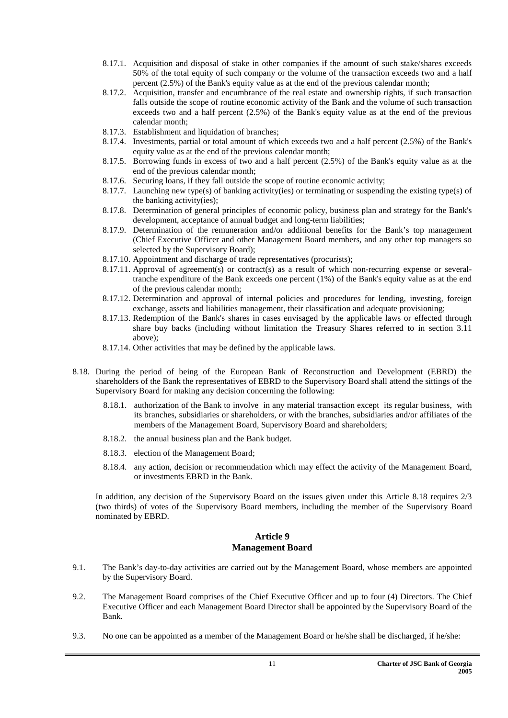- 8.17.1. Acquisition and disposal of stake in other companies if the amount of such stake/shares exceeds 50% of the total equity of such company or the volume of the transaction exceeds two and a half percent (2.5%) of the Bank's equity value as at the end of the previous calendar month;
- 8.17.2. Acquisition, transfer and encumbrance of the real estate and ownership rights, if such transaction falls outside the scope of routine economic activity of the Bank and the volume of such transaction exceeds two and a half percent (2.5%) of the Bank's equity value as at the end of the previous calendar month;
- 8.17.3. Establishment and liquidation of branches;
- 8.17.4. Investments, partial or total amount of which exceeds two and a half percent (2.5%) of the Bank's equity value as at the end of the previous calendar month;
- 8.17.5. Borrowing funds in excess of two and a half percent (2.5%) of the Bank's equity value as at the end of the previous calendar month;
- 8.17.6. Securing loans, if they fall outside the scope of routine economic activity;
- 8.17.7. Launching new type(s) of banking activity(ies) or terminating or suspending the existing type(s) of the banking activity(ies);
- 8.17.8. Determination of general principles of economic policy, business plan and strategy for the Bank's development, acceptance of annual budget and long-term liabilities;
- 8.17.9. Determination of the remuneration and/or additional benefits for the Bank's top management (Chief Executive Officer and other Management Board members, and any other top managers so selected by the Supervisory Board);
- 8.17.10. Appointment and discharge of trade representatives (procurists);
- 8.17.11. Approval of agreement(s) or contract(s) as a result of which non-recurring expense or severaltranche expenditure of the Bank exceeds one percent (1%) of the Bank's equity value as at the end of the previous calendar month;
- 8.17.12. Determination and approval of internal policies and procedures for lending, investing, foreign exchange, assets and liabilities management, their classification and adequate provisioning;
- 8.17.13. Redemption of the Bank's shares in cases envisaged by the applicable laws or effected through share buy backs (including without limitation the Treasury Shares referred to in section 3.11 above);
- 8.17.14. Other activities that may be defined by the applicable laws.
- 8.18. During the period of being of the European Bank of Reconstruction and Development (EBRD) the shareholders of the Bank the representatives of EBRD to the Supervisory Board shall attend the sittings of the Supervisory Board for making any decision concerning the following:
	- 8.18.1. authorization of the Bank to involve in any material transaction except its regular business, with its branches, subsidiaries or shareholders, or with the branches, subsidiaries and/or affiliates of the members of the Management Board, Supervisory Board and shareholders;
	- 8.18.2. the annual business plan and the Bank budget.
	- 8.18.3. election of the Management Board;
	- 8.18.4. any action, decision or recommendation which may effect the activity of the Management Board, or investments EBRD in the Bank.

In addition, any decision of the Supervisory Board on the issues given under this Article 8.18 requires 2/3 (two thirds) of votes of the Supervisory Board members, including the member of the Supervisory Board nominated by EBRD.

#### **Article 9 Management Board**

- 9.1. The Bank's day-to-day activities are carried out by the Management Board, whose members are appointed by the Supervisory Board.
- 9.2. The Management Board comprises of the Chief Executive Officer and up to four (4) Directors. The Chief Executive Officer and each Management Board Director shall be appointed by the Supervisory Board of the Bank.
- 9.3. No one can be appointed as a member of the Management Board or he/she shall be discharged, if he/she: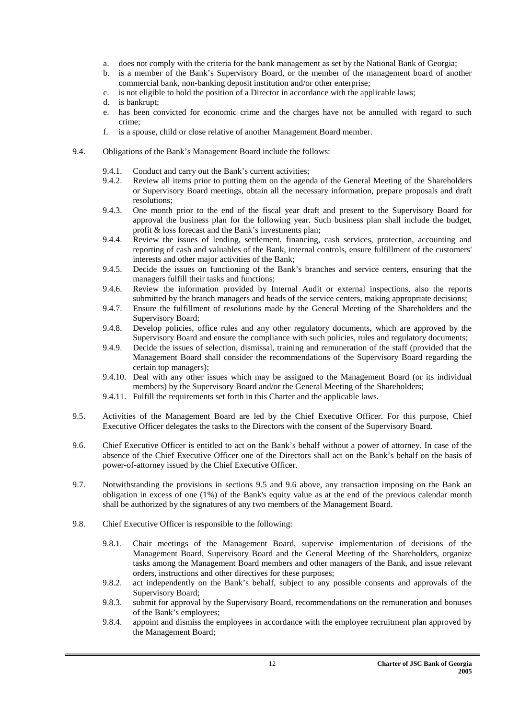- a. does not comply with the criteria for the bank management as set by the National Bank of Georgia;
- b. is a member of the Bank's Supervisory Board, or the member of the management board of another commercial bank, non-banking deposit institution and/or other enterprise;
- c. is not eligible to hold the position of a Director in accordance with the applicable laws;
- d. is bankrupt;
- e. has been convicted for economic crime and the charges have not be annulled with regard to such crime;
- f. is a spouse, child or close relative of another Management Board member.
- 9.4. Obligations of the Bank's Management Board include the follows:
	- 9.4.1. Conduct and carry out the Bank's current activities;
	- 9.4.2. Review all items prior to putting them on the agenda of the General Meeting of the Shareholders or Supervisory Board meetings, obtain all the necessary information, prepare proposals and draft resolutions;
	- 9.4.3. One month prior to the end of the fiscal year draft and present to the Supervisory Board for approval the business plan for the following year. Such business plan shall include the budget, profit & loss forecast and the Bank's investments plan;
	- 9.4.4. Review the issues of lending, settlement, financing, cash services, protection, accounting and reporting of cash and valuables of the Bank, internal controls, ensure fulfillment of the customers' interests and other major activities of the Bank;
	- 9.4.5. Decide the issues on functioning of the Bank's branches and service centers, ensuring that the managers fulfill their tasks and functions;
	- 9.4.6. Review the information provided by Internal Audit or external inspections, also the reports submitted by the branch managers and heads of the service centers, making appropriate decisions;
	- 9.4.7. Ensure the fulfillment of resolutions made by the General Meeting of the Shareholders and the Supervisory Board;
	- 9.4.8. Develop policies, office rules and any other regulatory documents, which are approved by the Supervisory Board and ensure the compliance with such policies, rules and regulatory documents;
	- 9.4.9. Decide the issues of selection, dismissal, training and remuneration of the staff (provided that the Management Board shall consider the recommendations of the Supervisory Board regarding the certain top managers);
	- 9.4.10. Deal with any other issues which may be assigned to the Management Board (or its individual members) by the Supervisory Board and/or the General Meeting of the Shareholders;
	- 9.4.11. Fulfill the requirements set forth in this Charter and the applicable laws.
- 9.5. Activities of the Management Board are led by the Chief Executive Officer. For this purpose, Chief Executive Officer delegates the tasks to the Directors with the consent of the Supervisory Board.
- 9.6. Chief Executive Officer is entitled to act on the Bank's behalf without a power of attorney. In case of the absence of the Chief Executive Officer one of the Directors shall act on the Bank's behalf on the basis of power-of-attorney issued by the Chief Executive Officer.
- 9.7. Notwithstanding the provisions in sections 9.5 and 9.6 above, any transaction imposing on the Bank an obligation in excess of one (1%) of the Bank's equity value as at the end of the previous calendar month shall be authorized by the signatures of any two members of the Management Board.
- 9.8. Chief Executive Officer is responsible to the following:
	- 9.8.1. Chair meetings of the Management Board, supervise implementation of decisions of the Management Board, Supervisory Board and the General Meeting of the Shareholders, organize tasks among the Management Board members and other managers of the Bank, and issue relevant orders, instructions and other directives for these purposes;
	- 9.8.2. act independently on the Bank's behalf, subject to any possible consents and approvals of the Supervisory Board;
	- 9.8.3. submit for approval by the Supervisory Board, recommendations on the remuneration and bonuses of the Bank's employees;
	- 9.8.4. appoint and dismiss the employees in accordance with the employee recruitment plan approved by the Management Board;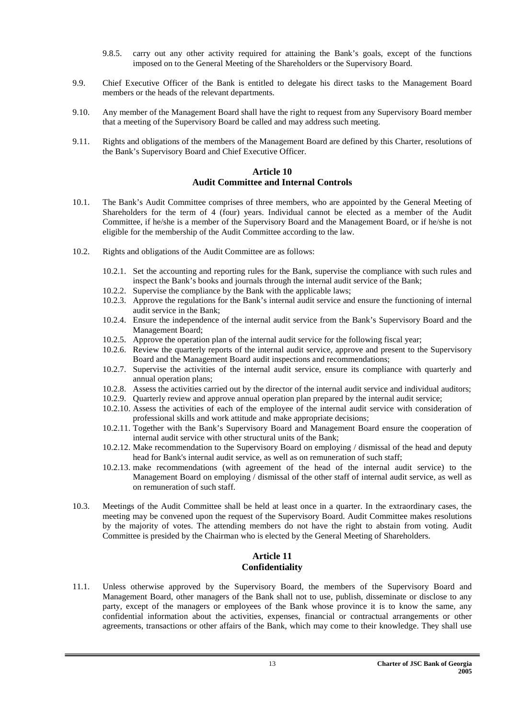- 9.8.5. carry out any other activity required for attaining the Bank's goals, except of the functions imposed on to the General Meeting of the Shareholders or the Supervisory Board.
- 9.9. Chief Executive Officer of the Bank is entitled to delegate his direct tasks to the Management Board members or the heads of the relevant departments.
- 9.10. Any member of the Management Board shall have the right to request from any Supervisory Board member that a meeting of the Supervisory Board be called and may address such meeting.
- 9.11. Rights and obligations of the members of the Management Board are defined by this Charter, resolutions of the Bank's Supervisory Board and Chief Executive Officer.

#### **Article 10 Audit Committee and Internal Controls**

- 10.1. The Bank's Audit Committee comprises of three members, who are appointed by the General Meeting of Shareholders for the term of 4 (four) years. Individual cannot be elected as a member of the Audit Committee, if he/she is a member of the Supervisory Board and the Management Board, or if he/she is not eligible for the membership of the Audit Committee according to the law.
- 10.2. Rights and obligations of the Audit Committee are as follows:
	- 10.2.1. Set the accounting and reporting rules for the Bank, supervise the compliance with such rules and inspect the Bank's books and journals through the internal audit service of the Bank;
	- 10.2.2. Supervise the compliance by the Bank with the applicable laws;
	- 10.2.3. Approve the regulations for the Bank's internal audit service and ensure the functioning of internal audit service in the Bank;
	- 10.2.4. Ensure the independence of the internal audit service from the Bank's Supervisory Board and the Management Board;
	- 10.2.5. Approve the operation plan of the internal audit service for the following fiscal year;
	- 10.2.6. Review the quarterly reports of the internal audit service, approve and present to the Supervisory Board and the Management Board audit inspections and recommendations;
	- 10.2.7. Supervise the activities of the internal audit service, ensure its compliance with quarterly and annual operation plans;
	- 10.2.8. Assess the activities carried out by the director of the internal audit service and individual auditors;
	- 10.2.9. Quarterly review and approve annual operation plan prepared by the internal audit service;
	- 10.2.10. Assess the activities of each of the employee of the internal audit service with consideration of professional skills and work attitude and make appropriate decisions;
	- 10.2.11. Together with the Bank's Supervisory Board and Management Board ensure the cooperation of internal audit service with other structural units of the Bank;
	- 10.2.12. Make recommendation to the Supervisory Board on employing / dismissal of the head and deputy head for Bank's internal audit service, as well as on remuneration of such staff;
	- 10.2.13. make recommendations (with agreement of the head of the internal audit service) to the Management Board on employing / dismissal of the other staff of internal audit service, as well as on remuneration of such staff.
- 10.3. Meetings of the Audit Committee shall be held at least once in a quarter. In the extraordinary cases, the meeting may be convened upon the request of the Supervisory Board. Audit Committee makes resolutions by the majority of votes. The attending members do not have the right to abstain from voting. Audit Committee is presided by the Chairman who is elected by the General Meeting of Shareholders.

#### **Article 11 Confidentiality**

11.1. Unless otherwise approved by the Supervisory Board, the members of the Supervisory Board and Management Board, other managers of the Bank shall not to use, publish, disseminate or disclose to any party, except of the managers or employees of the Bank whose province it is to know the same, any confidential information about the activities, expenses, financial or contractual arrangements or other agreements, transactions or other affairs of the Bank, which may come to their knowledge. They shall use